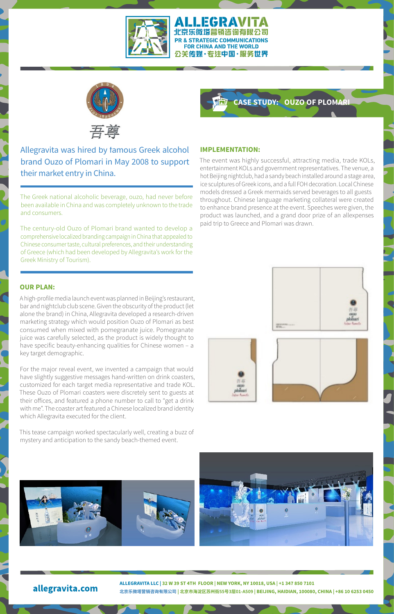

#### ALLEGRAVITA 北京乐微塔营销咨询有限公司 PR & STRATEGIC COMMUNICATIONS FOR CHINA AND THE WORLD 公关传媒·专注中国·服务世界



Allegravita was hired by famous Greek alcohol brand Ouzo of Plomari in May 2008 to support their market entry in China.

The Greek national alcoholic beverage, ouzo, had never before been available in China and was completely unknown to the trade and consumers.

The century-old Ouzo of Plomari brand wanted to develop a comprehensive localized branding campaign in China that appealed to Chinese consumer taste, cultural preferences, and their understanding of Greece (which had been developed by Allegravita's work for the Greek Ministry of Tourism).

## **OUR PLAN:**

A high-profile media launch event was planned in Beijing's restaurant, bar and nightclub club scene. Given the obscurity of the product (let alone the brand) in China, Allegravita developed a research-driven marketing strategy which would position Ouzo of Plomari as best consumed when mixed with pomegranate juice. Pomegranate juice was carefully selected, as the product is widely thought to have specific beauty-enhancing qualities for Chinese women – a key target demographic.

For the major reveal event, we invented a campaign that would have slightly suggestive messages hand-written on drink coasters, customized for each target media representative and trade KOL. These Ouzo of Plomari coasters were discretely sent to guests at their offices, and featured a phone number to call to "get a drink with me". The coaster art featured a Chinese localized brand identity which Allegravita executed for the client.

This tease campaign worked spectacularly well, creating a buzz of mystery and anticipation to the sandy beach-themed event.

# **CASE STUDY: OUZO OF PLOMARI**

#### **IMPLEMENTATION:**

The event was highly successful, attracting media, trade KOLs, entertainment KOLs and government representatives. The venue, a hot Beijing nightclub, had a sandy beach installed around a stage area, ice sculptures of Greek icons, and a full FOH decoration. Local Chinese models dressed a Greek mermaids served beverages to all guests throughout. Chinese language marketing collateral were created to enhance brand presence at the event. Speeches were given, the product was launched, and a grand door prize of an allexpenses paid trip to Greece and Plomari was drawn.











# allegravita.com

**ALLEGRAVITA LLC | 32 W 39 ST 4TH FLOOR | NEW YORK, NY 10018, USA | +1 347 850 7101 北京乐微塔营销咨询有限公司 | 北京市海淀区苏州街55号3层01-A509 | BEIJING, HAIDIAN, 100080, CHINA | +86 10 6253 0450**